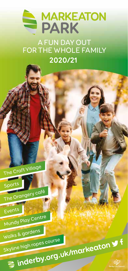

A FUN DAY OUT FOR THE WHOLE FAMILY **2020/21**















Mundy Play Centre Walks & gardens

Skyline high ropes course

inderby.org.uk/markeatons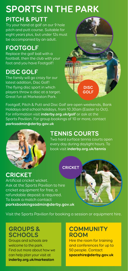# **SPORTS IN THE PARK**

#### **PITCH & PUTT**

Try your hand at golf on our 9 hole pitch and putt course. Suitable for eight years plus, but under 12s must be accompanied by an adult.

# **FOOTGOLF**

Replace the golf ball with a football, then the club with your foot and you have Footgolf!

# **DISC GOLF**

The family will go crazy for our latest addition, Disc Golf! The flying disc sport in which players throw a disc at a target. Great fun at Markeaton Park.

**DISC GOLF**

Footgolf, Pitch & Putt and Disc Golf are open weekends, Bank Holidays and school holidays, from 10.30am (Easter to Oct). For information visit **inderby.org.uk/golf** or ask at the Sports Pavilion. For group bookings of 10 or more, contact **parksadmin@derby.gov.uk**



## **TENNIS COURTS**

Two hard surface tennis courts open every day during daylight hours. To book visit **inderby.org.uk/tennis**

#### **CRICKET**

**CRICKET** Artificial cricket wicket. Ask at the Sports Pavilion to hire cricket equipment for free, a refundable deposit is required. To book a match contact **parksbookingsadmin@derby.gov.uk**



Visit the Sports Pavilion for booking a session or equipment hire.

#### **GROUPS & SCHOOLS**

Groups and schools are welcome to the park. Find out more about how we can help plan your visit at **inderby.org.uk/markeaton**

#### **COMMUNITY ROOM**

Hire the room for training and conferences for up to 50 people. Contact **spacehire@derby.gov.uk**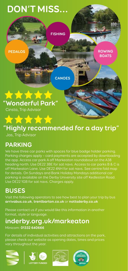

# **"Highly recommended for a day trip"**

Jas, Trip Advisor

#### **PARKING**

We have three car parks with spaces for blue badge holder parking. Parking charges apply – card payments are accepted by downloading the app. Access car park A off Markeaton roundabout on the A38 heading north. Use DE22 3BE for sat navs. Access to car parks B & C is off Markeaton Lane. Use DE22 4NH for sat navs. See centre fold map for details. On Sundays and Bank Holiday Mondays additional car parking is available on the Derby University site off Kedleston Road. Use DE22 1GB for sat navs. Charges apply.

#### **BUSES**

Visit the following operators to see how best to plan your trip by bus **arrivabus.co.uk**, **trentbarton.co.uk** or **nottsderby.co.uk**

Please contact us if you would like this information in another format, style or language.

# **inderby.org.uk/markeaton**

Minicom: **01332 640666**

For details of individual activities and attractions on the park, please check our website as opening dates, times and prices vary throughout the year.